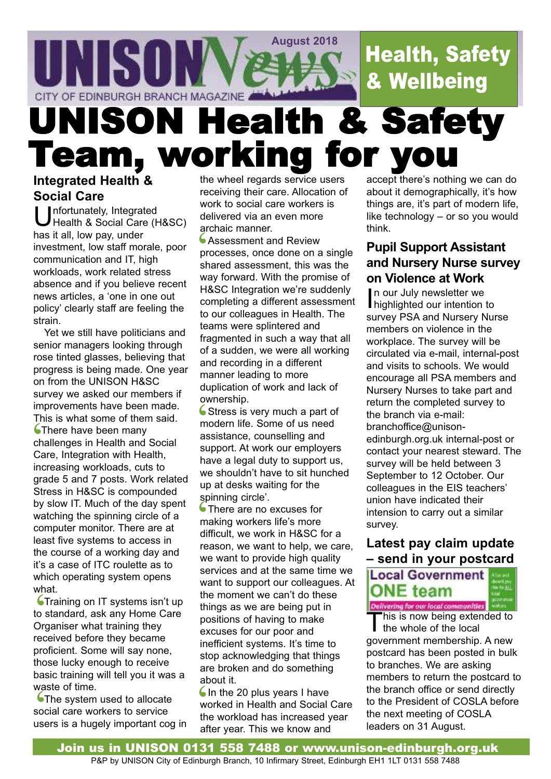

# UNISON Health & Safety Team, working for you

## **Integrated Health & Social Care**

Unfortunately, Integrated Health & Social Care (H&SC) has it all, low pay, under investment, low staff morale, poor communication and IT, high workloads, work related stress absence and if you believe recent news articles, a 'one in one out policy' clearly staff are feeling the strain.

Yet we still have politicians and senior managers looking through rose tinted glasses, believing that progress is being made. One year on from the UNISON H&SC survey we asked our members if improvements have been made. This is what some of them said. **S**There have been many challenges in Health and Social Care, Integration with Health, increasing workloads, cuts to grade 5 and 7 posts. Work related Stress in H&SC is compounded by slow IT. Much of the day spent watching the spinning circle of a computer monitor. There are at least five systems to access in the course of a working day and it's a case of ITC roulette as to which operating system opens what.

**Straining on IT systems isn't up** to standard, ask any Home Care Organiser what training they received before they became proficient. Some will say none, those lucky enough to receive basic training will tell you it was a waste of time. what<br>The store

**The system used to allocate** social care workers to service waste of time.<br>
The system used to allocate<br>
social care workers to service<br>
users is a hugely important cog in

the wheel regards service users receiving their care. Allocation of work to social care workers is delivered via an even more archaic manner.

**Assessment and Review** processes, once done on a single shared assessment, this was the way forward. With the promise of H&SC Integration we're suddenly completing a different assessment to our colleagues in Health. The teams were splintered and fragmented in such a way that all of a sudden, we were all working and recording in a different manner leading to more duplication of work and lack of ownership. ar<br>|<br>|<br>|<br>|<br>|<br>|<br>|

Given Sinp.<br>
Stress is very much a part of<br>
modern life. Some of us need<br>
assistance, counselling and modern life. Some of us need assistance, counselling and support. At work our employers have a legal duty to support us, we shouldn't have to sit hunched up at desks waiting for the spinning circle'.

There are no excuses for making workers life's more difficult, we work in H&SC for a reason, we want to help, we care, we want to provide high quality services and at the same time we want to support our colleagues. At the moment we can't do these things as we are being put in positions of having to make excuses for our poor and inefficient systems. It's time to stop acknowledging that things are broken and do something about it. sp<br>ma<br>dif

 $\bigcup$  In the 20 plus years I have worked in Health and Social Care the workload has increased year after year. This we know and

accept there's nothing we can do about it demographically, it's how things are, it's part of modern life, like technology – or so you would think.

## **Pupil Support Assistant and Nursery Nurse survey on Violence at Work**

In our July newsletter we<br>highlighted our intention to n our July newsletter we survey PSA and Nursery Nurse members on violence in the workplace. The survey will be circulated via e-mail, internal-post and visits to schools. We would encourage all PSA members and Nursery Nurses to take part and return the completed survey to the branch via e-mail: branchoffice@unisonedinburgh.org.uk internal-post or contact your nearest steward. The survey will be held between 3 September to 12 October. Our colleagues in the EIS teachers' union have indicated their intension to carry out a similar survey.

# **Latest pay claim update – send in your postcard**



Delivering for our local communities

This is now being extended to the whole of the local government membership. A new postcard has been posted in bulk to branches. We are asking members to return the postcard to the branch office or send directly to the President of COSLA before the next meeting of COSLA leaders on 31 August.